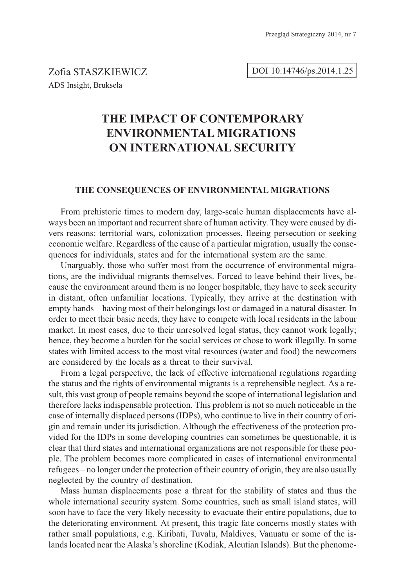### DOI 10.14746/ps.2014.1.25

## THE IMPACT OF CONTEMPORARY **ENVIRONMENTAL MIGRATIONS ON INTERNATIONAL SECURITY ON INTERNATIONAL SECURITY**

### **THE CONSEQUENCES OF ENVIRONMENTAL MIGRATIONS**

From prehistoric times to modern day, large-scale human displacements have always been an important and recurrent share of human activity. They were caused by divers reasons: territorial wars, colonization processes, fleeing persecution or seeking economic welfare. Regardless of the cause of a particular migration, usually the consequences for individuals, states and for the international system are the same.

Unarguably, those who suffer most from the occurrence of environmental migrations, are the individual migrants themselves. Forced to leave behind their lives, because the environment around them is no longer hospitable, they have to seek security in distant, often unfamiliar locations. Typically, they arrive at the destination with empty hands – having most of their belongings lost or damaged in a natural disaster. In order to meet their basic needs, they have to compete with local residents in the labour market. In most cases, due to their unresolved legal status, they cannot work legally; hence, they become a burden for the social services or chose to work illegally. In some states with limited access to the most vital resources (water and food) the newcomers are considered by the locals as a threat to their survival.

From a legal perspective, the lack of effective international regulations regarding the status and the rights of environmental migrants is a reprehensible neglect. As a result, this vast group of people remains beyond the scope of international legislation and therefore lacks indispensable protection. This problem is not so much noticeable in the case of internally displaced persons (IDPs), who continue to live in their country of origin and remain under its jurisdiction. Although the effectiveness of the protection provided for the IDPs in some developing countries can sometimes be questionable, it is clear that third states and international organizations are not responsible for these people. The problem becomes more complicated in cases of international environmental refugees – no longer under the protection of their country of origin, they are also usually neglected by the country of destination.

Mass human displacements pose a threat for the stability of states and thus the whole international security system. Some countries, such as small island states, will soon have to face the very likely necessity to evacuate their entire populations, due to the deteriorating environment. At present, this tragic fate concerns mostly states with rather small populations, e.g. Kiribati, Tuvalu, Maldives, Vanuatu or some of the islands located near the Alaska's shoreline (Kodiak, Aleutian Islands). But the phenome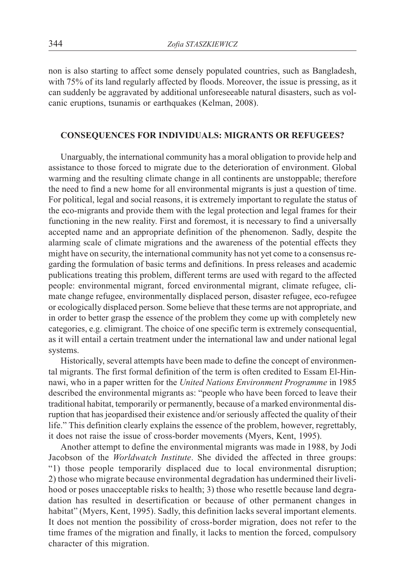non is also starting to affect some densely populated countries, such as Bangladesh, with 75% of its land regularly affected by floods. Moreover, the issue is pressing, as it can suddenly be aggravated by additional unforeseeable natural disasters, such as volcanic eruptions, tsunamis or earthquakes (Kelman, 2008).

### **CONSEQUENCES FOR INDIVIDUALS: MIGRANTS OR REFUGEES?**

Unarguably, the international community has a moral obligation to provide help and assistance to those forced to migrate due to the deterioration of environment. Global warming and the resulting climate change in all continents are unstoppable; therefore the need to find a new home for all environmental migrants is just a question of time. For political, legal and social reasons, it is extremely important to regulate the status of the eco-migrants and provide them with the legal protection and legal frames for their functioning in the new reality. First and foremost, it is necessary to find a universally accepted name and an appropriate definition of the phenomenon. Sadly, despite the alarming scale of climate migrations and the awareness of the potential effects they might have on security, the international community has not yet come to a consensus regarding the formulation of basic terms and definitions. In press releases and academic publications treating this problem, different terms are used with regard to the affected people: environmental migrant, forced environmental migrant, climate refugee, climate change refugee, environmentally displaced person, disaster refugee, eco-refugee or ecologically displaced person. Some believe that these terms are not appropriate, and in order to better grasp the essence of the problem they come up with completely new categories, e.g. climigrant. The choice of one specific term is extremely consequential, as it will entail a certain treatment under the international law and under national legal systems.

Historically, several attempts have been made to define the concept of environmental migrants. The first formal definition of the term is often credited to Essam El-Hinnawi, who in a paper written for the *United Nations Environment Programme* in 1985 described the environmental migrants as: "people who have been forced to leave their traditional habitat, temporarily or permanently, because of a marked environmental disruption that has jeopardised their existence and/or seriously affected the quality of their life." This definition clearly explains the essence of the problem, however, regrettably, it does not raise the issue of cross-border movements (Myers, Kent, 1995).

Another attempt to define the environmental migrants was made in 1988, by Jodi Jacobson of the *Worldwatch Institute*. She divided the affected in three groups: "1) those people temporarily displaced due to local environmental disruption; 2) those who migrate because environmental degradation has undermined their livelihood or poses unacceptable risks to health; 3) those who resettle because land degradation has resulted in desertification or because of other permanent changes in habitat" (Myers, Kent, 1995). Sadly, this definition lacks several important elements. It does not mention the possibility of cross-border migration, does not refer to the time frames of the migration and finally, it lacks to mention the forced, compulsory character of this migration.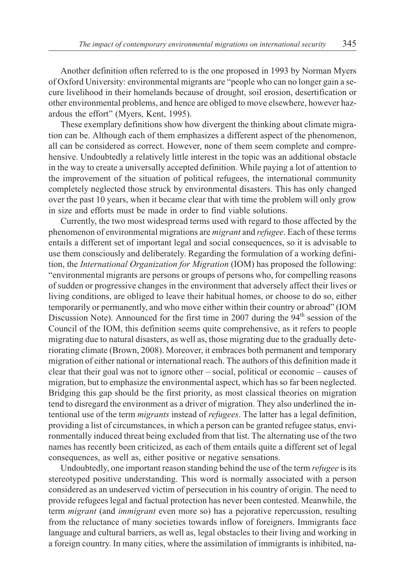Another definition often referred to is the one proposed in 1993 by Norman Myers of Oxford University: environmental migrants are "people who can no longer gain a secure livelihood in their homelands because of drought, soil erosion, desertification or other environmental problems, and hence are obliged to move elsewhere, however hazardous the effort" (Myers, Kent, 1995).

These exemplary definitions show how divergent the thinking about climate migration can be. Although each of them emphasizes a different aspect of the phenomenon, all can be considered as correct. However, none of them seem complete and comprehensive. Undoubtedly a relatively little interest in the topic was an additional obstacle in the way to create a universally accepted definition. While paying a lot of attention to the improvement of the situation of political refugees, the international community completely neglected those struck by environmental disasters. This has only changed over the past 10 years, when it became clear that with time the problem will only grow in size and efforts must be made in order to find viable solutions.

Currently, the two most widespread terms used with regard to those affected by the phenomenon of environmental migrations are *migrant* and *refugee*. Each of these terms entails a different set of important legal and social consequences, so it is advisable to use them consciously and deliberately. Regarding the formulation of a working definition, the *International Organization for Migration* (IOM) has proposed the following: "environmental migrants are persons or groups of persons who, for compelling reasons of sudden or progressive changes in the environment that adversely affect their lives or living conditions, are obliged to leave their habitual homes, or choose to do so, either temporarily or permanently, and who move either within their country or abroad" (IOM Discussion Note). Announced for the first time in 2007 during the  $94<sup>th</sup>$  session of the Council of the IOM, this definition seems quite comprehensive, as it refers to people migrating due to natural disasters, as well as, those migrating due to the gradually deteriorating climate (Brown, 2008). Moreover, it embraces both permanent and temporary migration of either national or international reach. The authors of this definition made it clear that their goal was not to ignore other – social, political or economic – causes of migration, but to emphasize the environmental aspect, which has so far been neglected. Bridging this gap should be the first priority, as most classical theories on migration tend to disregard the environment as a driver of migration. They also underlined the intentional use of the term *migrants* instead of *refugees*. The latter has a legal definition, providing a list of circumstances, in which a person can be granted refugee status, environmentally induced threat being excluded from that list. The alternating use of the two names has recently been criticized, as each of them entails quite a different set of legal consequences, as well as, either positive or negative sensations.

Undoubtedly, one important reason standing behind the use of the term *refugee* is its stereotyped positive understanding. This word is normally associated with a person considered as an undeserved victim of persecution in his country of origin. The need to provide refugees legal and factual protection has never been contested. Meanwhile, the term *migrant* (and *immigrant* even more so) has a pejorative repercussion, resulting from the reluctance of many societies towards inflow of foreigners. Immigrants face language and cultural barriers, as well as, legal obstacles to their living and working in a foreign country. In many cities, where the assimilation of immigrants is inhibited, na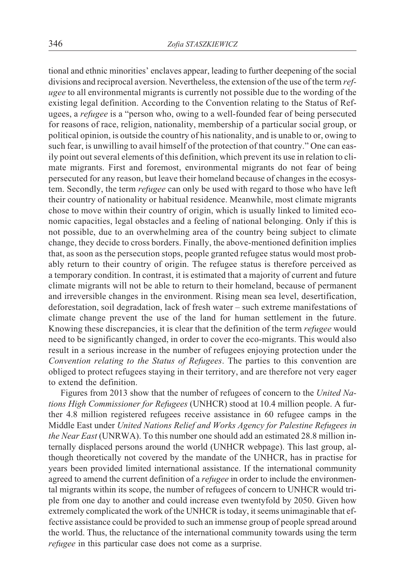tional and ethnic minorities' enclaves appear, leading to further deepening of the social divisions and reciprocal aversion. Nevertheless, the extension of the use of the term *refugee* to all environmental migrants is currently not possible due to the wording of the existing legal definition. According to the Convention relating to the Status of Refugees, a *refugee* is a "person who, owing to a well-founded fear of being persecuted for reasons of race, religion, nationality, membership of a particular social group, or political opinion, is outside the country of his nationality, and is unable to or, owing to such fear, is unwilling to avail himself of the protection of that country." One can easily point out several elements of this definition, which prevent its use in relation to climate migrants. First and foremost, environmental migrants do not fear of being persecuted for any reason, but leave their homeland because of changes in the ecosystem. Secondly, the term *refugee* can only be used with regard to those who have left their country of nationality or habitual residence. Meanwhile, most climate migrants chose to move within their country of origin, which is usually linked to limited economic capacities, legal obstacles and a feeling of national belonging. Only if this is not possible, due to an overwhelming area of the country being subject to climate change, they decide to cross borders. Finally, the above-mentioned definition implies that, as soon as the persecution stops, people granted refugee status would most probably return to their country of origin. The refugee status is therefore perceived as a temporary condition. In contrast, it is estimated that a majority of current and future climate migrants will not be able to return to their homeland, because of permanent and irreversible changes in the environment. Rising mean sea level, desertification, deforestation, soil degradation, lack of fresh water – such extreme manifestations of climate change prevent the use of the land for human settlement in the future. Knowing these discrepancies, it is clear that the definition of the term *refugee* would need to be significantly changed, in order to cover the eco-migrants. This would also result in a serious increase in the number of refugees enjoying protection under the *Convention relating to the Status of Refugees*. The parties to this convention are obliged to protect refugees staying in their territory, and are therefore not very eager to extend the definition.

Figures from 2013 show that the number of refugees of concern to the *United Nations High Commissioner for Refugees* (UNHCR) stood at 10.4 million people. A further 4.8 million registered refugees receive assistance in 60 refugee camps in the Middle East under *United Nations Relief and Works Agency for Palestine Refugees in the Near East* (UNRWA). To this number one should add an estimated 28.8 million internally displaced persons around the world (UNHCR webpage). This last group, although theoretically not covered by the mandate of the UNHCR, has in practise for years been provided limited international assistance. If the international community agreed to amend the current definition of a *refugee* in order to include the environmental migrants within its scope, the number of refugees of concern to UNHCR would triple from one day to another and could increase even twentyfold by 2050. Given how extremely complicated the work of the UNHCR is today, it seems unimaginable that effective assistance could be provided to such an immense group of people spread around the world. Thus, the reluctance of the international community towards using the term *refugee* in this particular case does not come as a surprise.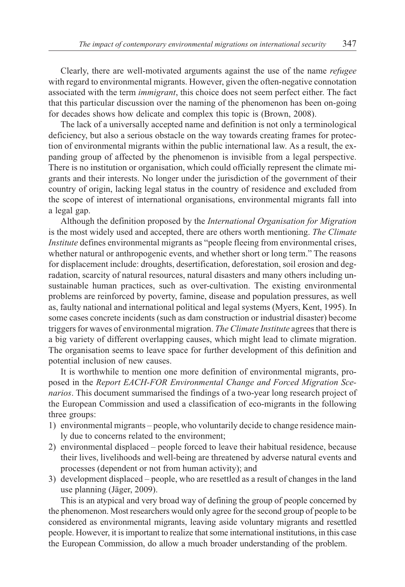Clearly, there are well-motivated arguments against the use of the name *refugee* with regard to environmental migrants. However, given the often-negative connotation associated with the term *immigrant*, this choice does not seem perfect either. The fact that this particular discussion over the naming of the phenomenon has been on-going for decades shows how delicate and complex this topic is (Brown, 2008).

The lack of a universally accepted name and definition is not only a terminological deficiency, but also a serious obstacle on the way towards creating frames for protection of environmental migrants within the public international law. As a result, the expanding group of affected by the phenomenon is invisible from a legal perspective. There is no institution or organisation, which could officially represent the climate migrants and their interests. No longer under the jurisdiction of the government of their country of origin, lacking legal status in the country of residence and excluded from the scope of interest of international organisations, environmental migrants fall into a legal gap.

Although the definition proposed by the *International Organisation for Migration* is the most widely used and accepted, there are others worth mentioning. *The Climate Institute* defines environmental migrants as "people fleeing from environmental crises, whether natural or anthropogenic events, and whether short or long term." The reasons for displacement include: droughts, desertification, deforestation, soil erosion and degradation, scarcity of natural resources, natural disasters and many others including unsustainable human practices, such as over-cultivation. The existing environmental problems are reinforced by poverty, famine, disease and population pressures, as well as, faulty national and international political and legal systems (Myers, Kent, 1995). In some cases concrete incidents (such as dam construction or industrial disaster) become triggers for waves of environmental migration. *The Climate Institute* agrees that there is a big variety of different overlapping causes, which might lead to climate migration. The organisation seems to leave space for further development of this definition and potential inclusion of new causes.

It is worthwhile to mention one more definition of environmental migrants, proposed in the *Report EACH-FOR Environmental Change and Forced Migration Scenarios*. This document summarised the findings of a two-year long research project of the European Commission and used a classification of eco-migrants in the following three groups:

- 1) environmental migrants people, who voluntarily decide to change residence mainly due to concerns related to the environment;
- 2) environmental displaced people forced to leave their habitual residence, because their lives, livelihoods and well-being are threatened by adverse natural events and processes (dependent or not from human activity); and
- 3) development displaced people, who are resettled as a result of changes in the land use planning (Jäger, 2009).

This is an atypical and very broad way of defining the group of people concerned by the phenomenon. Most researchers would only agree for the second group of people to be considered as environmental migrants, leaving aside voluntary migrants and resettled people. However, it is important to realize that some international institutions, in this case the European Commission, do allow a much broader understanding of the problem.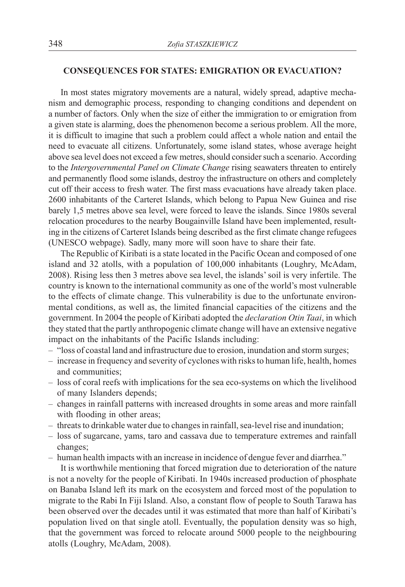### **CONSEQUENCES FOR STATES: EMIGRATION OR EVACUATION?**

In most states migratory movements are a natural, widely spread, adaptive mechanism and demographic process, responding to changing conditions and dependent on a number of factors. Only when the size of either the immigration to or emigration from a given state is alarming, does the phenomenon become a serious problem. All the more, it is difficult to imagine that such a problem could affect a whole nation and entail the need to evacuate all citizens. Unfortunately, some island states, whose average height above sea level does not exceed a few metres, should consider such a scenario. According to the *Intergovernmental Panel on Climate Change* rising seawaters threaten to entirely and permanently flood some islands, destroy the infrastructure on others and completely cut off their access to fresh water. The first mass evacuations have already taken place. 2600 inhabitants of the Carteret Islands, which belong to Papua New Guinea and rise barely 1,5 metres above sea level, were forced to leave the islands. Since 1980s several relocation procedures to the nearby Bougainville Island have been implemented, resulting in the citizens of Carteret Islands being described as the first climate change refugees (UNESCO webpage). Sadly, many more will soon have to share their fate.

The Republic of Kiribati is a state located in the Pacific Ocean and composed of one island and 32 atolls, with a population of 100,000 inhabitants (Loughry, McAdam, 2008). Rising less then 3 metres above sea level, the islands' soil is very infertile. The country is known to the international community as one of the world's most vulnerable to the effects of climate change. This vulnerability is due to the unfortunate environmental conditions, as well as, the limited financial capacities of the citizens and the government. In 2004 the people of Kiribati adopted the *declaration Otin Taai*, in which they stated that the partly anthropogenic climate change will have an extensive negative impact on the inhabitants of the Pacific Islands including:

- "loss of coastal land and infrastructure due to erosion, inundation and storm surges;
- increase in frequency and severity of cyclones with risks to human life, health, homes and communities;
- loss of coral reefs with implications for the sea eco-systems on which the livelihood of many Islanders depends;
- changes in rainfall patterns with increased droughts in some areas and more rainfall with flooding in other areas;
- threats to drinkable water due to changes in rainfall, sea-level rise and inundation;
- loss of sugarcane, yams, taro and cassava due to temperature extremes and rainfall changes;
- human health impacts with an increase in incidence of dengue fever and diarrhea."

It is worthwhile mentioning that forced migration due to deterioration of the nature is not a novelty for the people of Kiribati. In 1940s increased production of phosphate on Banaba Island left its mark on the ecosystem and forced most of the population to migrate to the Rabi In Fiji Island. Also, a constant flow of people to South Tarawa has been observed over the decades until it was estimated that more than half of Kiribati's population lived on that single atoll. Eventually, the population density was so high, that the government was forced to relocate around 5000 people to the neighbouring atolls (Loughry, McAdam, 2008).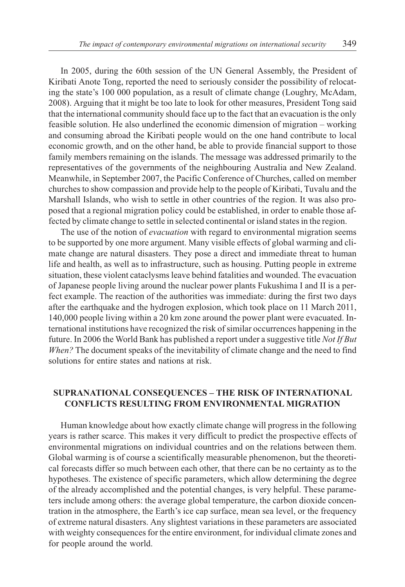In 2005, during the 60th session of the UN General Assembly, the President of Kiribati Anote Tong, reported the need to seriously consider the possibility of relocating the state's 100 000 population, as a result of climate change (Loughry, McAdam, 2008). Arguing that it might be too late to look for other measures, President Tong said that the international community should face up to the fact that an evacuation is the only feasible solution. He also underlined the economic dimension of migration – working and consuming abroad the Kiribati people would on the one hand contribute to local economic growth, and on the other hand, be able to provide financial support to those family members remaining on the islands. The message was addressed primarily to the representatives of the governments of the neighbouring Australia and New Zealand. Meanwhile, in September 2007, the Pacific Conference of Churches, called on member churches to show compassion and provide help to the people of Kiribati, Tuvalu and the Marshall Islands, who wish to settle in other countries of the region. It was also proposed that a regional migration policy could be established, in order to enable those affected by climate change to settle in selected continental or island states in the region.

The use of the notion of *evacuation* with regard to environmental migration seems to be supported by one more argument. Many visible effects of global warming and climate change are natural disasters. They pose a direct and immediate threat to human life and health, as well as to infrastructure, such as housing. Putting people in extreme situation, these violent cataclysms leave behind fatalities and wounded. The evacuation of Japanese people living around the nuclear power plants Fukushima I and II is a perfect example. The reaction of the authorities was immediate: during the first two days after the earthquake and the hydrogen explosion, which took place on 11 March 2011, 140,000 people living within a 20 km zone around the power plant were evacuated. International institutions have recognized the risk of similar occurrences happening in the future. In 2006 the World Bank has published a report under a suggestive title *Not If But When?* The document speaks of the inevitability of climate change and the need to find solutions for entire states and nations at risk.

## **SUPRANATIONAL CONSEQUENCES – THE RISK OF INTERNATIONAL CONFLICTS RESULTING FROM ENVIRONMENTAL MIGRATION**

Human knowledge about how exactly climate change will progress in the following years is rather scarce. This makes it very difficult to predict the prospective effects of environmental migrations on individual countries and on the relations between them. Global warming is of course a scientifically measurable phenomenon, but the theoretical forecasts differ so much between each other, that there can be no certainty as to the hypotheses. The existence of specific parameters, which allow determining the degree of the already accomplished and the potential changes, is very helpful. These parameters include among others: the average global temperature, the carbon dioxide concentration in the atmosphere, the Earth's ice cap surface, mean sea level, or the frequency of extreme natural disasters. Any slightest variations in these parameters are associated with weighty consequences for the entire environment, for individual climate zones and for people around the world.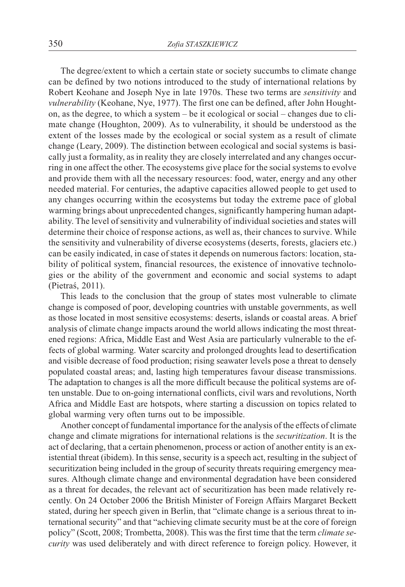The degree/extent to which a certain state or society succumbs to climate change can be defined by two notions introduced to the study of international relations by Robert Keohane and Joseph Nye in late 1970s. These two terms are *sensitivity* and *vulnerability* (Keohane, Nye, 1977). The first one can be defined, after John Houghton, as the degree, to which a system – be it ecological or social – changes due to climate change (Houghton, 2009). As to vulnerability, it should be understood as the extent of the losses made by the ecological or social system as a result of climate change (Leary, 2009). The distinction between ecological and social systems is basically just a formality, as in reality they are closely interrelated and any changes occurring in one affect the other. The ecosystems give place for the social systems to evolve and provide them with all the necessary resources: food, water, energy and any other needed material. For centuries, the adaptive capacities allowed people to get used to any changes occurring within the ecosystems but today the extreme pace of global warming brings about unprecedented changes, significantly hampering human adaptability. The level of sensitivity and vulnerability of individual societies and states will determine their choice of response actions, as well as, their chances to survive. While the sensitivity and vulnerability of diverse ecosystems (deserts, forests, glaciers etc.) can be easily indicated, in case of states it depends on numerous factors: location, stability of political system, financial resources, the existence of innovative technologies or the ability of the government and economic and social systems to adapt (Pietraś, 2011).

This leads to the conclusion that the group of states most vulnerable to climate change is composed of poor, developing countries with unstable governments, as well as those located in most sensitive ecosystems: deserts, islands or coastal areas. A brief analysis of climate change impacts around the world allows indicating the most threatened regions: Africa, Middle East and West Asia are particularly vulnerable to the effects of global warming. Water scarcity and prolonged droughts lead to desertification and visible decrease of food production; rising seawater levels pose a threat to densely populated coastal areas; and, lasting high temperatures favour disease transmissions. The adaptation to changes is all the more difficult because the political systems are often unstable. Due to on-going international conflicts, civil wars and revolutions, North Africa and Middle East are hotspots, where starting a discussion on topics related to global warming very often turns out to be impossible.

Another concept of fundamental importance for the analysis of the effects of climate change and climate migrations for international relations is the *securitization*. It is the act of declaring, that a certain phenomenon, process or action of another entity is an existential threat (ibidem). In this sense, security is a speech act, resulting in the subject of securitization being included in the group of security threats requiring emergency measures. Although climate change and environmental degradation have been considered as a threat for decades, the relevant act of securitization has been made relatively recently. On 24 October 2006 the British Minister of Foreign Affairs Margaret Beckett stated, during her speech given in Berlin, that "climate change is a serious threat to international security" and that "achieving climate security must be at the core of foreign policy" (Scott, 2008; Trombetta, 2008). This was the first time that the term *climate security* was used deliberately and with direct reference to foreign policy. However, it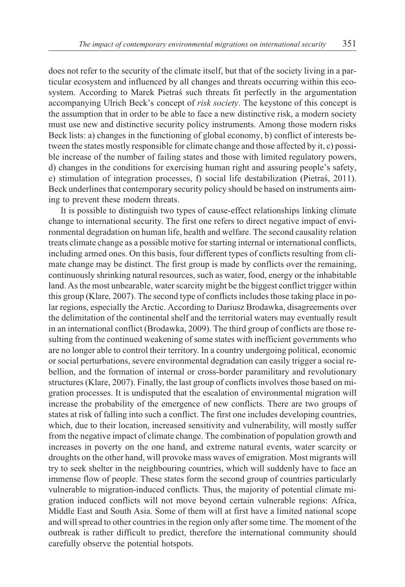does not refer to the security of the climate itself, but that of the society living in a particular ecosystem and influenced by all changes and threats occurring within this ecosystem. According to Marek Pietraś such threats fit perfectly in the argumentation accompanying Ulrich Beck's concept of *risk society*. The keystone of this concept is the assumption that in order to be able to face a new distinctive risk, a modern society must use new and distinctive security policy instruments. Among those modern risks Beck lists: a) changes in the functioning of global economy, b) conflict of interests between the states mostly responsible for climate change and those affected by it, c) possible increase of the number of failing states and those with limited regulatory powers, d) changes in the conditions for exercising human right and assuring people's safety, e) stimulation of integration processes, f) social life destabilization (Pietras, 2011). Beck underlines that contemporary security policy should be based on instruments aiming to prevent these modern threats.

It is possible to distinguish two types of cause-effect relationships linking climate change to international security. The first one refers to direct negative impact of environmental degradation on human life, health and welfare. The second causality relation treats climate change as a possible motive for starting internal or international conflicts, including armed ones. On this basis, four different types of conflicts resulting from climate change may be distinct. The first group is made by conflicts over the remaining, continuously shrinking natural resources, such as water, food, energy or the inhabitable land. As the most unbearable, water scarcity might be the biggest conflict trigger within this group (Klare, 2007). The second type of conflicts includes those taking place in polar regions, especially the Arctic. According to Dariusz Brodawka, disagreements over the delimitation of the continental shelf and the territorial waters may eventually result in an international conflict (Brodawka, 2009). The third group of conflicts are those resulting from the continued weakening of some states with inefficient governments who are no longer able to control their territory. In a country undergoing political, economic or social perturbations, severe environmental degradation can easily trigger a social rebellion, and the formation of internal or cross-border paramilitary and revolutionary structures (Klare, 2007). Finally, the last group of conflicts involves those based on migration processes. It is undisputed that the escalation of environmental migration will increase the probability of the emergence of new conflicts. There are two groups of states at risk of falling into such a conflict. The first one includes developing countries, which, due to their location, increased sensitivity and vulnerability, will mostly suffer from the negative impact of climate change. The combination of population growth and increases in poverty on the one hand, and extreme natural events, water scarcity or droughts on the other hand, will provoke mass waves of emigration. Most migrants will try to seek shelter in the neighbouring countries, which will suddenly have to face an immense flow of people. These states form the second group of countries particularly vulnerable to migration-induced conflicts. Thus, the majority of potential climate migration induced conflicts will not move beyond certain vulnerable regions: Africa, Middle East and South Asia. Some of them will at first have a limited national scope and will spread to other countries in the region only after some time. The moment of the outbreak is rather difficult to predict, therefore the international community should carefully observe the potential hotspots.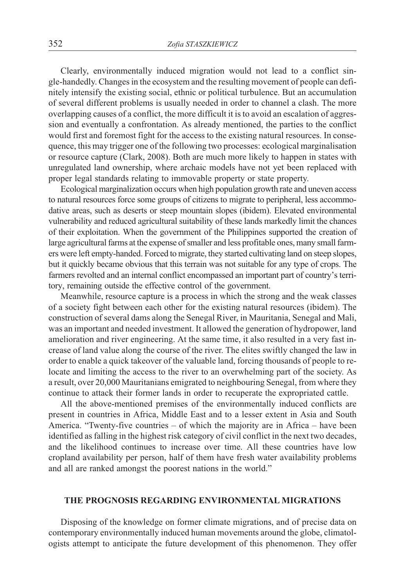Clearly, environmentally induced migration would not lead to a conflict single-handedly. Changes in the ecosystem and the resulting movement of people can definitely intensify the existing social, ethnic or political turbulence. But an accumulation of several different problems is usually needed in order to channel a clash. The more overlapping causes of a conflict, the more difficult it is to avoid an escalation of aggression and eventually a confrontation. As already mentioned, the parties to the conflict would first and foremost fight for the access to the existing natural resources. In consequence, this may trigger one of the following two processes: ecological marginalisation or resource capture (Clark, 2008). Both are much more likely to happen in states with unregulated land ownership, where archaic models have not yet been replaced with proper legal standards relating to immovable property or state property.

Ecological marginalization occurs when high population growth rate and uneven access to natural resources force some groups of citizens to migrate to peripheral, less accommodative areas, such as deserts or steep mountain slopes (ibidem). Elevated environmental vulnerability and reduced agricultural suitability of these lands markedly limit the chances of their exploitation. When the government of the Philippines supported the creation of large agricultural farms at the expense of smaller and less profitable ones, many small farmers were left empty-handed. Forced to migrate, they started cultivating land on steep slopes, but it quickly became obvious that this terrain was not suitable for any type of crops. The farmers revolted and an internal conflict encompassed an important part of country's territory, remaining outside the effective control of the government.

Meanwhile, resource capture is a process in which the strong and the weak classes of a society fight between each other for the existing natural resources (ibidem). The construction of several dams along the Senegal River, in Mauritania, Senegal and Mali, was an important and needed investment. It allowed the generation of hydropower, land amelioration and river engineering. At the same time, it also resulted in a very fast increase of land value along the course of the river. The elites swiftly changed the law in order to enable a quick takeover of the valuable land, forcing thousands of people to relocate and limiting the access to the river to an overwhelming part of the society. As a result, over 20,000 Mauritanians emigrated to neighbouring Senegal, from where they continue to attack their former lands in order to recuperate the expropriated cattle.

All the above-mentioned premises of the environmentally induced conflicts are present in countries in Africa, Middle East and to a lesser extent in Asia and South America. "Twenty-five countries – of which the majority are in Africa – have been identified as falling in the highest risk category of civil conflict in the next two decades, and the likelihood continues to increase over time. All these countries have low cropland availability per person, half of them have fresh water availability problems and all are ranked amongst the poorest nations in the world."

# **THE PROGNOSIS REGARDING ENVIRONMENTAL MIGRATIONS**

Disposing of the knowledge on former climate migrations, and of precise data on contemporary environmentally induced human movements around the globe, climatologists attempt to anticipate the future development of this phenomenon. They offer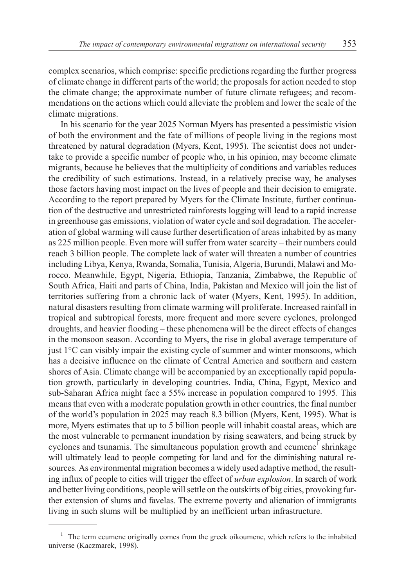complex scenarios, which comprise: specific predictions regarding the further progress of climate change in different parts of the world; the proposals for action needed to stop the climate change; the approximate number of future climate refugees; and recommendations on the actions which could alleviate the problem and lower the scale of the climate migrations.

In his scenario for the year 2025 Norman Myers has presented a pessimistic vision of both the environment and the fate of millions of people living in the regions most threatened by natural degradation (Myers, Kent, 1995). The scientist does not undertake to provide a specific number of people who, in his opinion, may become climate migrants, because he believes that the multiplicity of conditions and variables reduces the credibility of such estimations. Instead, in a relatively precise way, he analyses those factors having most impact on the lives of people and their decision to emigrate. According to the report prepared by Myers for the Climate Institute, further continuation of the destructive and unrestricted rainforests logging will lead to a rapid increase in greenhouse gas emissions, violation of water cycle and soil degradation. The acceleration of global warming will cause further desertification of areas inhabited by as many as 225 million people. Even more will suffer from water scarcity – their numbers could reach 3 billion people. The complete lack of water will threaten a number of countries including Libya, Kenya, Rwanda, Somalia, Tunisia, Algeria, Burundi, Malawi and Morocco. Meanwhile, Egypt, Nigeria, Ethiopia, Tanzania, Zimbabwe, the Republic of South Africa, Haiti and parts of China, India, Pakistan and Mexico will join the list of territories suffering from a chronic lack of water (Myers, Kent, 1995). In addition, natural disasters resulting from climate warming will proliferate. Increased rainfall in tropical and subtropical forests, more frequent and more severe cyclones, prolonged droughts, and heavier flooding – these phenomena will be the direct effects of changes in the monsoon season. According to Myers, the rise in global average temperature of just 1°C can visibly impair the existing cycle of summer and winter monsoons, which has a decisive influence on the climate of Central America and southern and eastern shores of Asia. Climate change will be accompanied by an exceptionally rapid population growth, particularly in developing countries. India, China, Egypt, Mexico and sub-Saharan Africa might face a 55% increase in population compared to 1995. This means that even with a moderate population growth in other countries, the final number of the world's population in 2025 may reach 8.3 billion (Myers, Kent, 1995). What is more, Myers estimates that up to 5 billion people will inhabit coastal areas, which are the most vulnerable to permanent inundation by rising seawaters, and being struck by cyclones and tsunamis. The simultaneous population growth and ecumene<sup>1</sup> shrinkage will ultimately lead to people competing for land and for the diminishing natural resources. As environmental migration becomes a widely used adaptive method, the resulting influx of people to cities will trigger the effect of *urban explosion*. In search of work and better living conditions, people will settle on the outskirts of big cities, provoking further extension of slums and favelas. The extreme poverty and alienation of immigrants living in such slums will be multiplied by an inefficient urban infrastructure.

 $1$  The term ecumene originally comes from the greek oikoumene, which refers to the inhabited universe (Kaczmarek, 1998).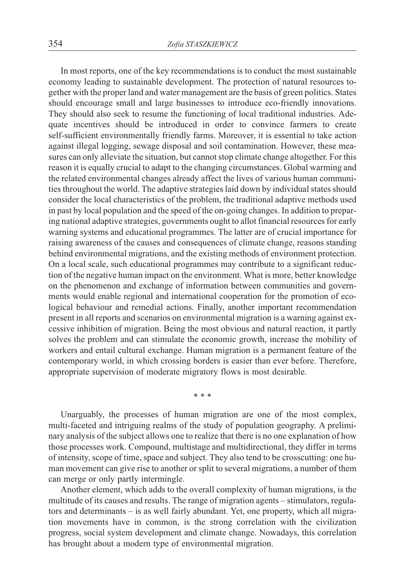In most reports, one of the key recommendations is to conduct the most sustainable economy leading to sustainable development. The protection of natural resources together with the proper land and water management are the basis of green politics. States should encourage small and large businesses to introduce eco-friendly innovations. They should also seek to resume the functioning of local traditional industries. Adequate incentives should be introduced in order to convince farmers to create self-sufficient environmentally friendly farms. Moreover, it is essential to take action against illegal logging, sewage disposal and soil contamination. However, these measures can only alleviate the situation, but cannot stop climate change altogether. For this reason it is equally crucial to adapt to the changing circumstances. Global warming and the related environmental changes already affect the lives of various human communities throughout the world. The adaptive strategies laid down by individual states should consider the local characteristics of the problem, the traditional adaptive methods used in past by local population and the speed of the on-going changes. In addition to preparing national adaptive strategies, governments ought to allot financial resources for early warning systems and educational programmes. The latter are of crucial importance for raising awareness of the causes and consequences of climate change, reasons standing behind environmental migrations, and the existing methods of environment protection. On a local scale, such educational programmes may contribute to a significant reduction of the negative human impact on the environment. What is more, better knowledge on the phenomenon and exchange of information between communities and governments would enable regional and international cooperation for the promotion of ecological behaviour and remedial actions. Finally, another important recommendation present in all reports and scenarios on environmental migration is a warning against excessive inhibition of migration. Being the most obvious and natural reaction, it partly solves the problem and can stimulate the economic growth, increase the mobility of workers and entail cultural exchange. Human migration is a permanent feature of the contemporary world, in which crossing borders is easier than ever before. Therefore, appropriate supervision of moderate migratory flows is most desirable.

\*\*\*

Unarguably, the processes of human migration are one of the most complex, multi-faceted and intriguing realms of the study of population geography. A preliminary analysis of the subject allows one to realize that there is no one explanation of how those processes work. Compound, multistage and multidirectional, they differ in terms of intensity, scope of time, space and subject. They also tend to be crosscutting: one human movement can give rise to another or split to several migrations, a number of them can merge or only partly intermingle.

Another element, which adds to the overall complexity of human migrations, is the multitude of its causes and results. The range of migration agents – stimulators, regulators and determinants – is as well fairly abundant. Yet, one property, which all migration movements have in common, is the strong correlation with the civilization progress, social system development and climate change. Nowadays, this correlation has brought about a modern type of environmental migration.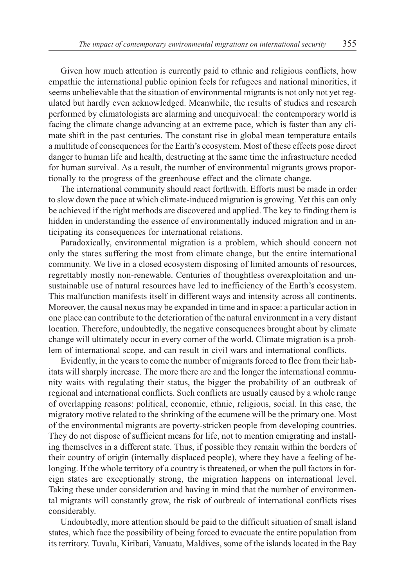Given how much attention is currently paid to ethnic and religious conflicts, how empathic the international public opinion feels for refugees and national minorities, it seems unbelievable that the situation of environmental migrants is not only not yet regulated but hardly even acknowledged. Meanwhile, the results of studies and research performed by climatologists are alarming and unequivocal: the contemporary world is facing the climate change advancing at an extreme pace, which is faster than any climate shift in the past centuries. The constant rise in global mean temperature entails a multitude of consequences for the Earth's ecosystem. Most of these effects pose direct danger to human life and health, destructing at the same time the infrastructure needed for human survival. As a result, the number of environmental migrants grows proportionally to the progress of the greenhouse effect and the climate change.

The international community should react forthwith. Efforts must be made in order to slow down the pace at which climate-induced migration is growing. Yet this can only be achieved if the right methods are discovered and applied. The key to finding them is hidden in understanding the essence of environmentally induced migration and in anticipating its consequences for international relations.

Paradoxically, environmental migration is a problem, which should concern not only the states suffering the most from climate change, but the entire international community. We live in a closed ecosystem disposing of limited amounts of resources, regrettably mostly non-renewable. Centuries of thoughtless overexploitation and unsustainable use of natural resources have led to inefficiency of the Earth's ecosystem. This malfunction manifests itself in different ways and intensity across all continents. Moreover, the causal nexus may be expanded in time and in space: a particular action in one place can contribute to the deterioration of the natural environment in a very distant location. Therefore, undoubtedly, the negative consequences brought about by climate change will ultimately occur in every corner of the world. Climate migration is a problem of international scope, and can result in civil wars and international conflicts.

Evidently, in the years to come the number of migrants forced to flee from their habitats will sharply increase. The more there are and the longer the international community waits with regulating their status, the bigger the probability of an outbreak of regional and international conflicts. Such conflicts are usually caused by a whole range of overlapping reasons: political, economic, ethnic, religious, social. In this case, the migratory motive related to the shrinking of the ecumene will be the primary one. Most of the environmental migrants are poverty-stricken people from developing countries. They do not dispose of sufficient means for life, not to mention emigrating and installing themselves in a different state. Thus, if possible they remain within the borders of their country of origin (internally displaced people), where they have a feeling of belonging. If the whole territory of a country is threatened, or when the pull factors in foreign states are exceptionally strong, the migration happens on international level. Taking these under consideration and having in mind that the number of environmental migrants will constantly grow, the risk of outbreak of international conflicts rises considerably.

Undoubtedly, more attention should be paid to the difficult situation of small island states, which face the possibility of being forced to evacuate the entire population from its territory. Tuvalu, Kiribati, Vanuatu, Maldives, some of the islands located in the Bay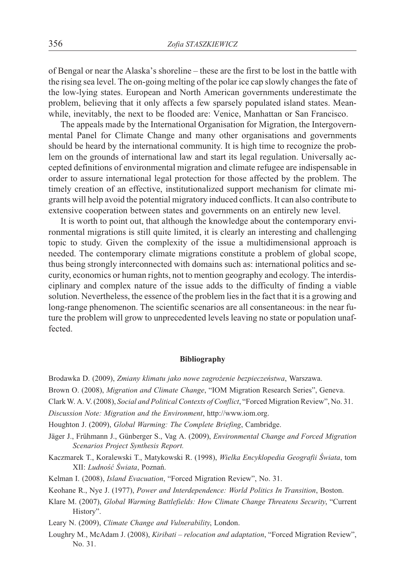of Bengal or near the Alaska's shoreline – these are the first to be lost in the battle with the rising sea level. The on-going melting of the polar ice cap slowly changes the fate of the low-lying states. European and North American governments underestimate the problem, believing that it only affects a few sparsely populated island states. Meanwhile, inevitably, the next to be flooded are: Venice, Manhattan or San Francisco.

The appeals made by the International Organisation for Migration, the Intergovernmental Panel for Climate Change and many other organisations and governments should be heard by the international community. It is high time to recognize the problem on the grounds of international law and start its legal regulation. Universally accepted definitions of environmental migration and climate refugee are indispensable in order to assure international legal protection for those affected by the problem. The timely creation of an effective, institutionalized support mechanism for climate migrants will help avoid the potential migratory induced conflicts. It can also contribute to extensive cooperation between states and governments on an entirely new level.

It is worth to point out, that although the knowledge about the contemporary environmental migrations is still quite limited, it is clearly an interesting and challenging topic to study. Given the complexity of the issue a multidimensional approach is needed. The contemporary climate migrations constitute a problem of global scope, thus being strongly interconnected with domains such as: international politics and security, economics or human rights, not to mention geography and ecology. The interdisciplinary and complex nature of the issue adds to the difficulty of finding a viable solution. Nevertheless, the essence of the problem lies in the fact that it is a growing and long-range phenomenon. The scientific scenarios are all consentaneous: in the near future the problem will grow to unprecedented levels leaving no state or population unaffected.

# **Bibliography**

- Brodawka D. (2009), *Zmiany klimatu jako nowe zagro¿enie bezpieczeñstwa*, Warszawa.
- Brown O. (2008), *Migration and Climate Change*, "IOM Migration Research Series", Geneva.
- Clark W. A. V. (2008), *Social and Political Contexts of Conflict*, "Forced Migration Review", No. 31.
- *Discussion Note: Migration and the Environment*, http://www.iom.org.
- Houghton J. (2009), *Global Warming: The Complete Briefing*, Cambridge.
- Jäger J., Frühmann J., Günberger S., Vag A. (2009), *Environmental Change and Forced Migration Scenarios Project Synthesis Report.*
- Kaczmarek T., Koralewski T., Matykowski R. (1998), *Wielka Encyklopedia Geografii Świata*, tom XII: *Ludność Świata*, Poznań.
- Kelman I. (2008), *Island Evacuation*, "Forced Migration Review", No. 31.
- Keohane R., Nye J. (1977), *Power and Interdependence: World Politics In Transition*, Boston.
- Klare M. (2007), *Global Warming Battlefields: How Climate Change Threatens Security*, "Current History".
- Leary N. (2009), *Climate Change and Vulnerability*, London.
- Loughry M., McAdam J. (2008), *Kiribati relocation and adaptation*, "Forced Migration Review", No. 31.